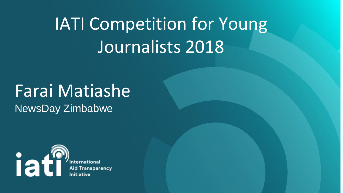## IATI Competition for Young Journalists 2018

#### Farai Matiashe NewsDay Zimbabwe



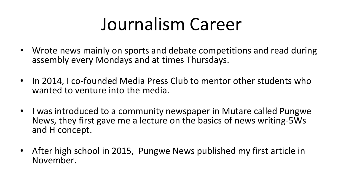#### Journalism Career

- Wrote news mainly on sports and debate competitions and read during assembly every Mondays and at times Thursdays.
- In 2014, I co-founded Media Press Club to mentor other students who wanted to venture into the media.
- I was introduced to a community newspaper in Mutare called Pungwe News, they first gave me a lecture on the basics of news writing-5Ws and H concept.
- After high school in 2015, Pungwe News published my first article in November.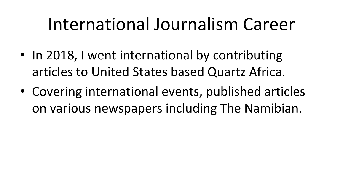#### International Journalism Career

- In 2018, I went international by contributing articles to United States based Quartz Africa.
- Covering international events, published articles on various newspapers including The Namibian.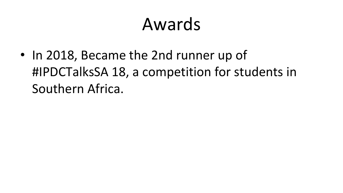#### Awards

• In 2018, Became the 2nd runner up of Southern Africa.

# #IPDCTalksSA 18, a competition for students in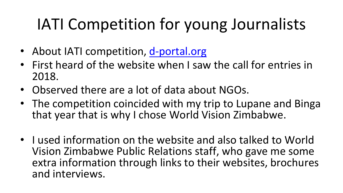## IATI Competition for young Journalists

• First heard of the website when I saw the call for entries in

- About IATI competition, [d-portal.org](http://d-portal.org/)
- 2018.
- Observed there are a lot of data about NGOs.
- The competition coincided with my trip to Lupane and Binga that year that is why I chose World Vision Zimbabwe.
- and interviews.

• I used information on the website and also talked to World Vision Zimbabwe Public Relations staff, who gave me some extra information through links to their websites, brochures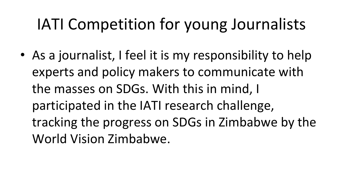## IATI Competition for young Journalists

• As a journalist, I feel it is my responsibility to help experts and policy makers to communicate with the masses on SDGs. With this in mind, I participated in the IATI research challenge, tracking the progress on SDGs in Zimbabwe by the World Vision Zimbabwe.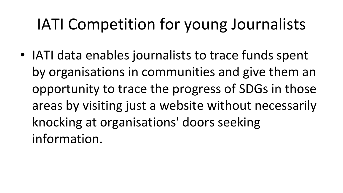## IATI Competition for young Journalists

• IATI data enables journalists to trace funds spent by organisations in communities and give them an opportunity to trace the progress of SDGs in those areas by visiting just a website without necessarily knocking at organisations' doors seeking information.